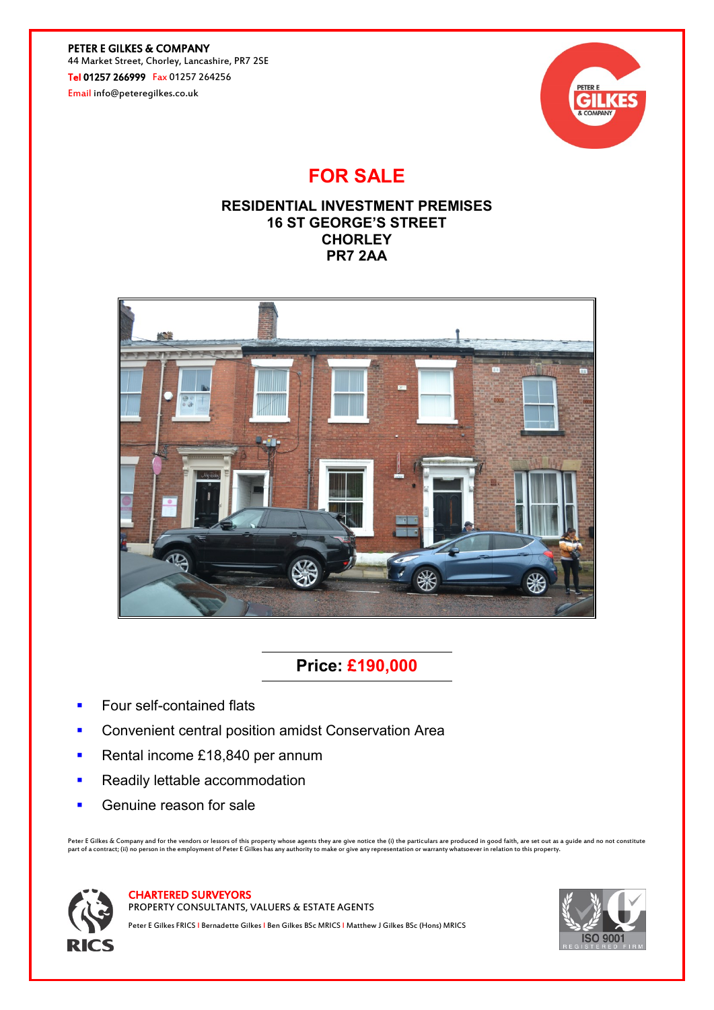PETER E GILKES & COMPANY 44 Market Street, Chorley, Lancashire, PR7 2SE Tel 01257 266999 Fax 01257 264256

Email info@peteregilkes.co.uk



# **FOR SALE**

## **RESIDENTIAL INVESTMENT PREMISES 16 ST GEORGE'S STREET CHORLEY PR7 2AA**



## **Price: £190,000**

- **Four self-contained flats**
- Convenient central position amidst Conservation Area
- Rental income £18,840 per annum
- **Readily lettable accommodation**
- **Genuine reason for sale**

Peter E Gilkes & Company and for the vendors or lessors of this property whose agents they are give notice the (i) the particulars are produced in good faith, are set out as a guide and no not constitute<br>part of a contract



CHARTERED SURVEYORS

PROPERTY CONSULTANTS, VALUERS & ESTATE AGENTS

Peter E Gilkes FRICS I Bernadette Gilkes I Ben Gilkes BSc MRICS I Matthew J Gilkes BSc (Hons) MRICS

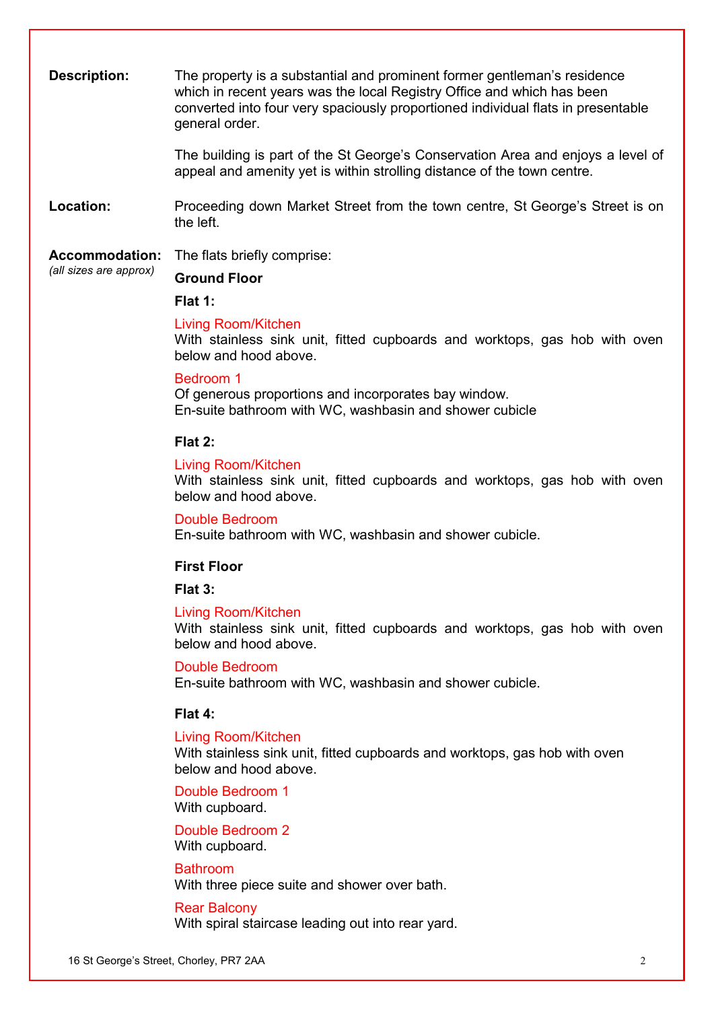**Description:** The property is a substantial and prominent former gentleman's residence which in recent years was the local Registry Office and which has been converted into four very spaciously proportioned individual flats in presentable general order.

> The building is part of the St George's Conservation Area and enjoys a level of appeal and amenity yet is within strolling distance of the town centre.

**Location:** Proceeding down Market Street from the town centre, St George's Street is on the left.

**Accommodation:** *(all sizes are approx)* The flats briefly comprise:

## **Ground Floor**

**Flat 1:**

### Living Room/Kitchen

With stainless sink unit, fitted cupboards and worktops, gas hob with oven below and hood above.

## Bedroom 1

Of generous proportions and incorporates bay window. En-suite bathroom with WC, washbasin and shower cubicle

## **Flat 2:**

## Living Room/Kitchen

With stainless sink unit, fitted cupboards and worktops, gas hob with oven below and hood above.

Double Bedroom En-suite bathroom with WC, washbasin and shower cubicle.

## **First Floor**

## **Flat 3:**

### Living Room/Kitchen

With stainless sink unit, fitted cupboards and worktops, gas hob with oven below and hood above.

Double Bedroom

En-suite bathroom with WC, washbasin and shower cubicle.

### **Flat 4:**

### Living Room/Kitchen

With stainless sink unit, fitted cupboards and worktops, gas hob with oven below and hood above.

Double Bedroom 1 With cupboard.

Double Bedroom 2 With cupboard.

## Bathroom

With three piece suite and shower over bath.

#### Rear Balcony

With spiral staircase leading out into rear yard.